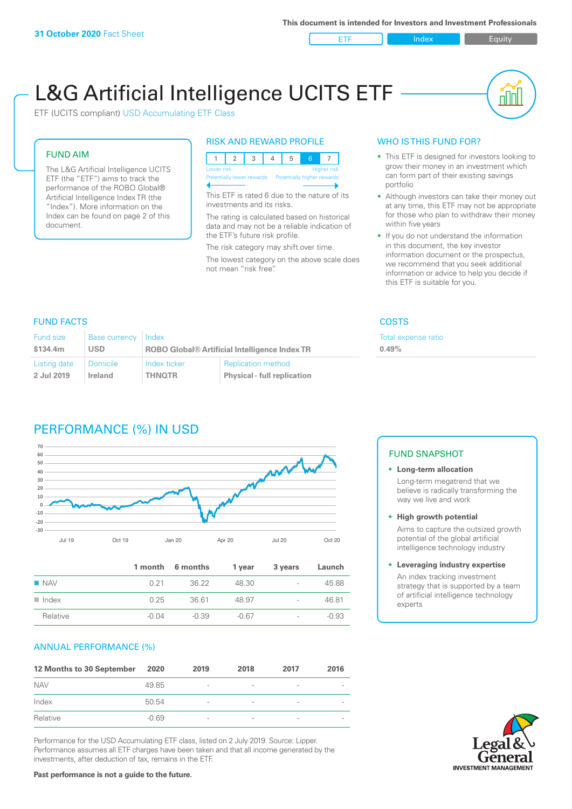ETF Index Builty

nN

# L&G Artificial Intelligence UCITS ETF

ETF (UCITS compliant) USD Accumulating ETF Class

#### FUND AIM

The L&G Artificial Intelligence UCITS ETF (the "ETF") aims to track the performance of the ROBO Global® Artificial Intelligence Index TR (the "Index"). More information on the Index can be found on page 2 of this document.

#### RISK AND REWARD PROFILE



This ETF is rated 6 due to the nature of its investments and its risks.

The rating is calculated based on historical data and may not be a reliable indication of the ETF's future risk profile.

The risk category may shift over time. The lowest category on the above scale does not mean "risk free".

#### WHO IS THIS FUND FOR?

- This ETF is designed for investors looking to grow their money in an investment which can form part of their existing savings portfolio
- Although investors can take their money out at any time, this ETF may not be appropriate for those who plan to withdraw their money within five years
- If you do not understand the information in this document, the key investor information document or the prospectus, we recommend that you seek additional information or advice to help you decide if this ETF is suitable for you.

**0.49%**

Total expense ratio

#### FUND FACTS COSTS

| Fund size    | Base currency   | Index                                                |                                    |  |
|--------------|-----------------|------------------------------------------------------|------------------------------------|--|
| \$134.4m     | <b>USD</b>      | <b>ROBO Global® Artificial Intelligence Index TR</b> |                                    |  |
| Listing date | <b>Domicile</b> | Index ticker                                         | <b>Replication method</b>          |  |
| 2 Jul 2019   | Ireland         | <b>THNOTR</b>                                        | <b>Physical - full replication</b> |  |

## PERFORMANCE (%) IN USD



|                      |         | 1 month 6 months | 1 year  | 3 years                  | Launch  |
|----------------------|---------|------------------|---------|--------------------------|---------|
| $\blacksquare$ NAV   | 0.21    | 36.22            | 48.30   | $\overline{\phantom{a}}$ | 45.88   |
| $\blacksquare$ Index | 0.25    | 36.61            | 48.97   | $\overline{\phantom{a}}$ | 46.81   |
| Relative             | $-0.04$ | $-0.39$          | $-0.67$ | $\overline{\phantom{a}}$ | $-0.93$ |

#### ANNUAL PERFORMANCE (%)

| 12 Months to 30 September | 2020    | 2019                     | 2018                     | 2017                     | 2016                     |
|---------------------------|---------|--------------------------|--------------------------|--------------------------|--------------------------|
| <b>NAV</b>                | 49.85   | $\overline{\phantom{a}}$ | $\overline{\phantom{a}}$ | $\overline{\phantom{a}}$ | $\overline{\phantom{a}}$ |
| Index                     | 50.54   | $\overline{\phantom{a}}$ |                          | $\qquad \qquad$          | $\overline{\phantom{a}}$ |
| Relative                  | $-0.69$ | $\qquad \qquad$          |                          | $\overline{\phantom{0}}$ | $\overline{\phantom{a}}$ |

Performance for the USD Accumulating ETF class, listed on 2 July 2019. Source: Lipper. Performance assumes all ETF charges have been taken and that all income generated by the investments, after deduction of tax, remains in the ETF.

#### FUND SNAPSHOT

- **• Long-term allocation** Long-term megatrend that we believe is radically transforming the way we live and work
- **• High growth potential** Aims to capture the outsized growth potential of the global artificial intelligence technology industry
- **• Leveraging industry expertise** An index tracking investment strategy that is supported by a team of artificial intelligence technology experts



**Past performance is not a guide to the future.**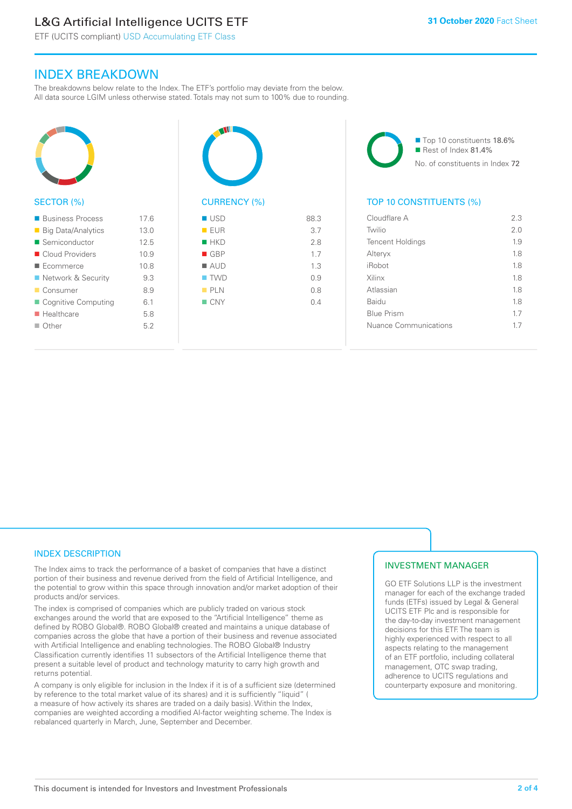# L&G Artificial Intelligence UCITS ETF

ETF (UCITS compliant) USD Accumulating ETF Class

### INDEX BREAKDOWN

The breakdowns below relate to the Index. The ETF's portfolio may deviate from the below. All data source LGIM unless otherwise stated. Totals may not sum to 100% due to rounding.



#### SECTOR (%)

| ■ Business Process           | 17.6 |
|------------------------------|------|
| ■ Big Data/Analytics         | 13.0 |
| $\blacksquare$ Semiconductor | 12.5 |
| ■ Cloud Providers            | 10.9 |
| ■ Ecommerce                  | 10.8 |
| ■ Network & Security         | 9.3  |
| ■ Consumer                   | 8.9  |
| ■ Cognitive Computing        | 6.1  |
| $\blacksquare$ Healthcare    | 5.8  |
| $\Box$ Other                 | 5.2  |
|                              |      |



| EUR                | 3.7 |
|--------------------|-----|
| $H$ HKD            | 2.8 |
| $\blacksquare$ GBP | 1.7 |
| $\blacksquare$ AUD | 1.3 |
| $\blacksquare$ TWD | 0.9 |
| PLN                | 0.8 |
| $\blacksquare$ CNY | 0.4 |
|                    |     |
|                    |     |

■ Top 10 constituents 18.6% Rest of Index 81.4% No. of constituents in Index 72

#### TOP 10 CONSTITUENTS (%)

| Cloudflare A            | 2.3 |
|-------------------------|-----|
| Twilio                  | 2.0 |
| <b>Tencent Holdings</b> | 1.9 |
| Alteryx                 | 1.8 |
| iRobot                  | 1.8 |
| Xilinx                  | 18  |
| Atlassian               | 1.8 |
| <b>Baidu</b>            | 18  |
| <b>Blue Prism</b>       | 1.7 |
| Nuance Communications   | 17  |
|                         |     |

#### INDEX DESCRIPTION

The Index aims to track the performance of a basket of companies that have a distinct portion of their business and revenue derived from the field of Artificial Intelligence, and the potential to grow within this space through innovation and/or market adoption of their products and/or services.

The index is comprised of companies which are publicly traded on various stock exchanges around the world that are exposed to the "Artificial Intelligence" theme as defined by ROBO Global®. ROBO Global® created and maintains a unique database of companies across the globe that have a portion of their business and revenue associated with Artificial Intelligence and enabling technologies. The ROBO Global® Industry Classification currently identifies 11 subsectors of the Artificial Intelligence theme that present a suitable level of product and technology maturity to carry high growth and returns potential.

A company is only eligible for inclusion in the Index if it is of a sufficient size (determined by reference to the total market value of its shares) and it is sufficiently "liquid" ( a measure of how actively its shares are traded on a daily basis). Within the Index, companies are weighted according a modified AI-factor weighting scheme. The Index is rebalanced quarterly in March, June, September and December.

#### INVESTMENT MANAGER

GO ETF Solutions LLP is the investment manager for each of the exchange traded funds (ETFs) issued by Legal & General UCITS ETF Plc and is responsible for the day-to-day investment management decisions for this ETF. The team is highly experienced with respect to all aspects relating to the management of an ETF portfolio, including collateral management, OTC swap trading, adherence to UCITS regulations and counterparty exposure and monitoring.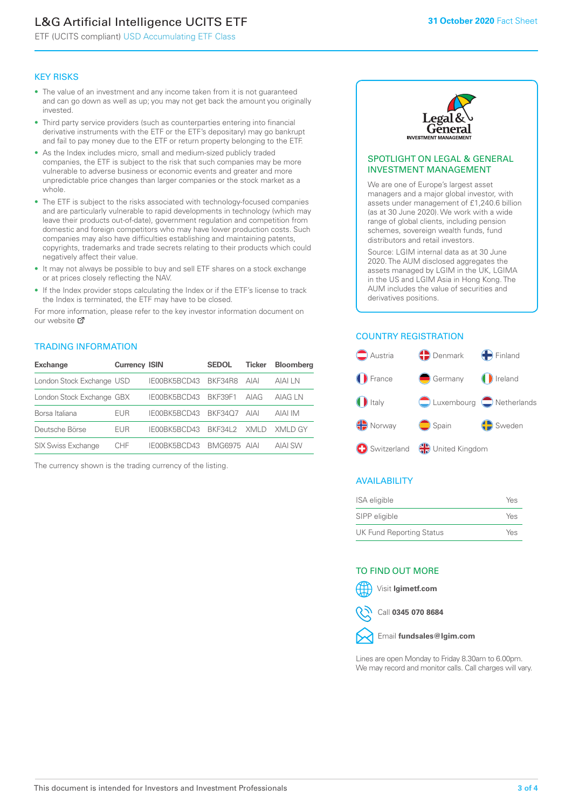# L&G Artificial Intelligence UCITS ETF

ETF (UCITS compliant) USD Accumulating ETF Class

#### KEY RISKS

- The value of an investment and any income taken from it is not guaranteed and can go down as well as up; you may not get back the amount you originally invested.
- Third party service providers (such as counterparties entering into financial derivative instruments with the ETF or the ETF's depositary) may go bankrupt and fail to pay money due to the ETF or return property belonging to the ETF.
- As the Index includes micro, small and medium-sized publicly traded companies, the ETF is subject to the risk that such companies may be more vulnerable to adverse business or economic events and greater and more unpredictable price changes than larger companies or the stock market as a whole.
- The ETF is subject to the risks associated with technology-focused companies and are particularly vulnerable to rapid developments in technology (which may leave their products out-of-date), government regulation and competition from domestic and foreign competitors who may have lower production costs. Such companies may also have difficulties establishing and maintaining patents, copyrights, trademarks and trade secrets relating to their products which could negatively affect their value.
- It may not always be possible to buy and sell ETF shares on a stock exchange or at prices closely reflecting the NAV.
- If the Index provider stops calculating the Index or if the ETF's license to track the Index is terminated, the ETF may have to be closed.

For more information, please refer to the key investor information document on our website Ø

#### TRADING INFORMATION

| <b>Exchange</b>           | <b>Currency ISIN</b> |                      | <b>SEDOL</b> | <b>Ticker</b> | <b>Bloomberg</b> |
|---------------------------|----------------------|----------------------|--------------|---------------|------------------|
| London Stock Exchange USD |                      | IE00BK5BCD43 BKF34R8 |              | AIAI          | AIAI I N         |
| London Stock Exchange GBX |                      | IE00BK5BCD43         | BKF39F1      | AIAG          | AIAG I N         |
| Borsa Italiana            | EUR                  | IE00BK5BCD43         | BKF3407      | AIAI          | AIAI IM          |
| Deutsche Börse            | EUR                  | IFOORK5BCD43         | BKF341 2     | XMI D         | XMI D GY         |
| <b>SIX Swiss Exchange</b> | CHE                  | IE00BK5BCD43         | BMG6975 AIAI |               | AIAI SW          |

The currency shown is the trading currency of the listing.



#### SPOTLIGHT ON LEGAL & GENERAL INVESTMENT MANAGEMENT

We are one of Europe's largest asset managers and a major global investor, with assets under management of £1,240.6 billion (as at 30 June 2020). We work with a wide range of global clients, including pension schemes, sovereign wealth funds, fund distributors and retail investors.

Source: LGIM internal data as at 30 June 2020. The AUM disclosed aggregates the assets managed by LGIM in the UK, LGIMA in the US and LGIM Asia in Hong Kong. The AUM includes the value of securities and derivatives positions.

#### COUNTRY REGISTRATION



#### AVAILABILITY

| ISA eligible                    | Yes |
|---------------------------------|-----|
| SIPP eligible                   | Yes |
| <b>UK Fund Reporting Status</b> | Yes |

#### TO FIND OUT MORE



Call **0345 070 8684**



Lines are open Monday to Friday 8.30am to 6.00pm. We may record and monitor calls. Call charges will vary.